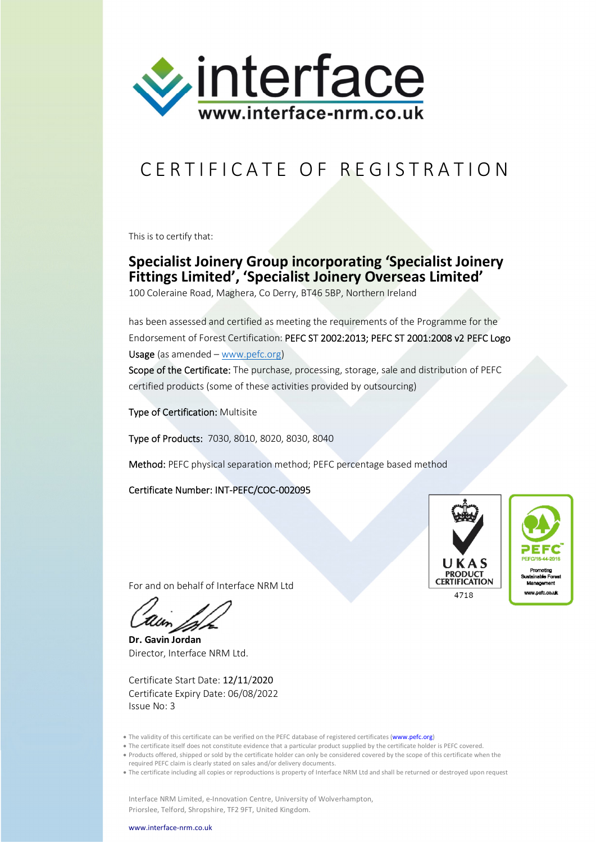

## CERTIFICATE OF REGISTRATION

This is to certify that:

## **Specialist Joinery Group incorporating 'Specialist Joinery Fittings Limited', 'Specialist Joinery Overseas Limited'**

100 Coleraine Road, Maghera, Co Derry, BT46 5BP, Northern Ireland

has been assessed and certified as meeting the requirements of the Programme for the Endorsement of Forest Certification: PEFC ST 2002:2013; PEFC ST 2001:2008 v2 PEFC Logo Usage (as amended – www.pefc.org) Scope of the Certificate: The purchase, processing, storage, sale and distribution of PEFC certified products (some of these activities provided by outsourcing)

Type of Certification: Multisite

Type of Products: 7030, 8010, 8020, 8030, 8040

Method: PEFC physical separation method; PEFC percentage based method

Certificate Number: INT-PEFC/COC-002095





For and on behalf of Interface NRM Ltd

**Dr. Gavin Jordan** Director, Interface NRM Ltd.

Certificate Start Date: 12/11/2020 Certificate Expiry Date: 06/08/2022 Issue No: 3

- The validity of this certificate can be verified on the PEFC database of registered certificates (www.pefc.org)
- The certificate itself does not constitute evidence that a particular product supplied by the certificate holder is PEFC covered.
- Products offered, shipped or sold by the certificate holder can only be considered covered by the scope of this certificate when the
- required PEFC claim is clearly stated on sales and/or delivery documents.
- The certificate including all copies or reproductions is property of Interface NRM Ltd and shall be returned or destroyed upon request

Interface NRM Limited, e-Innovation Centre, University of Wolverhampton, Priorslee, Telford, Shropshire, TF2 9FT, United Kingdom.